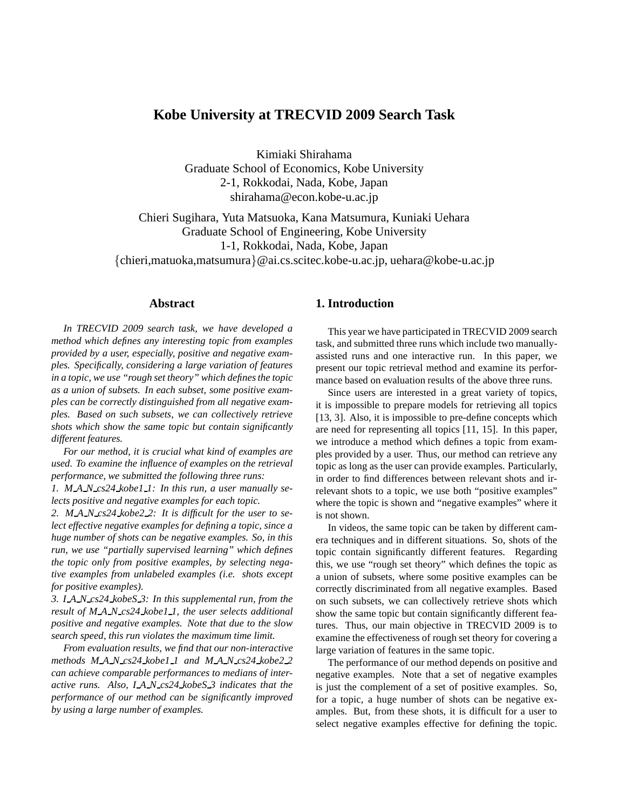# **Kobe University at TRECVID 2009 Search Task**

Kimiaki Shirahama Graduate School of Economics, Kobe University 2-1, Rokkodai, Nada, Kobe, Japan shirahama@econ.kobe-u.ac.jp

Chieri Sugihara, Yuta Matsuoka, Kana Matsumura, Kuniaki Uehara Graduate School of Engineering, Kobe University 1-1, Rokkodai, Nada, Kobe, Japan {chieri,matuoka,matsumura}@ai.cs.scitec.kobe-u.ac.jp, uehara@kobe-u.ac.jp

## **Abstract**

*In TRECVID 2009 search task, we have developed a method which defines any interesting topic from examples provided by a user, especially, positive and negative examples. Specifically, considering a large variation of features in a topic, we use "rough set theory" which defines the topic as a union of subsets. In each subset, some positive examples can be correctly distinguished from all negative examples. Based on such subsets, we can collectively retrieve shots which show the same topic but contain significantly different features.*

*For our method, it is crucial what kind of examples are used. To examine the influence of examples on the retrieval performance, we submitted the following three runs:*

*1. M A N cs24 kobe1 1: In this run, a user manually selects positive and negative examples for each topic.*

*2. M A N cs24 kobe2 2: It is difficult for the user to select effective negative examples for defining a topic, since a huge number of shots can be negative examples. So, in this run, we use "partially supervised learning" which defines the topic only from positive examples, by selecting negative examples from unlabeled examples (i.e. shots except for positive examples).*

*3. I A N cs24 kobeS 3: In this supplemental run, from the result of M A N cs24 kobe1 1, the user selects additional positive and negative examples. Note that due to the slow search speed, this run violates the maximum time limit.*

*From evaluation results, we find that our non-interactive methods M A N cs24 kobe1 1 and M A N cs24 kobe2 2 can achieve comparable performances to medians of interactive runs. Also, I A N cs24 kobeS 3 indicates that the performance of our method can be significantly improved by using a large number of examples.*

## **1. Introduction**

This year we have participated in TRECVID 2009 search task, and submitted three runs which include two manuallyassisted runs and one interactive run. In this paper, we present our topic retrieval method and examine its performance based on evaluation results of the above three runs.

Since users are interested in a great variety of topics, it is impossible to prepare models for retrieving all topics [13, 3]. Also, it is impossible to pre-define concepts which are need for representing all topics [11, 15]. In this paper, we introduce a method which defines a topic from examples provided by a user. Thus, our method can retrieve any topic as long as the user can provide examples. Particularly, in order to find differences between relevant shots and irrelevant shots to a topic, we use both "positive examples" where the topic is shown and "negative examples" where it is not shown.

In videos, the same topic can be taken by different camera techniques and in different situations. So, shots of the topic contain significantly different features. Regarding this, we use "rough set theory" which defines the topic as a union of subsets, where some positive examples can be correctly discriminated from all negative examples. Based on such subsets, we can collectively retrieve shots which show the same topic but contain significantly different features. Thus, our main objective in TRECVID 2009 is to examine the effectiveness of rough set theory for covering a large variation of features in the same topic.

The performance of our method depends on positive and negative examples. Note that a set of negative examples is just the complement of a set of positive examples. So, for a topic, a huge number of shots can be negative examples. But, from these shots, it is difficult for a user to select negative examples effective for defining the topic.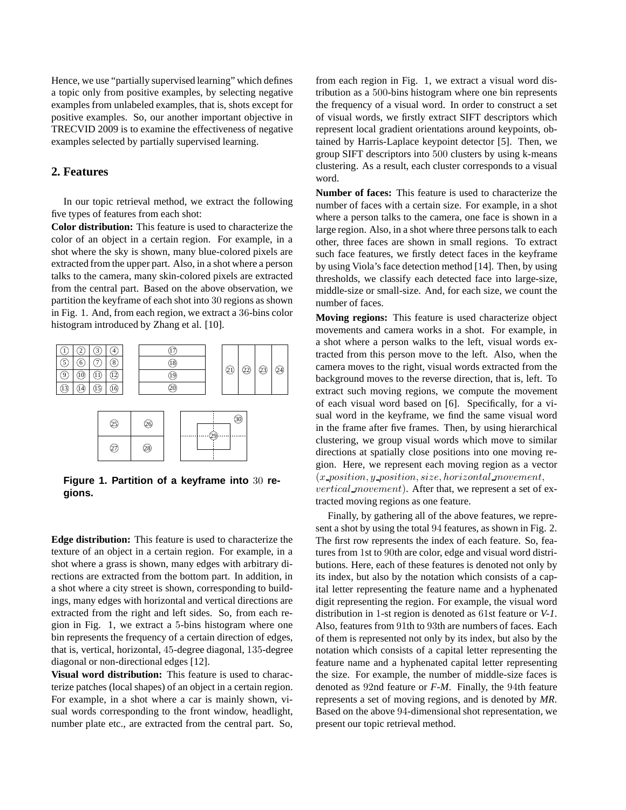Hence, we use "partially supervised learning" which defines a topic only from positive examples, by selecting negative examples from unlabeled examples, that is, shots except for positive examples. So, our another important objective in TRECVID 2009 is to examine the effectiveness of negative examples selected by partially supervised learning.

## **2. Features**

In our topic retrieval method, we extract the following five types of features from each shot:

**Color distribution:** This feature is used to characterize the color of an object in a certain region. For example, in a shot where the sky is shown, many blue-colored pixels are extracted from the upper part. Also, in a shot where a person talks to the camera, many skin-colored pixels are extracted from the central part. Based on the above observation, we partition the keyframe of each shot into 30 regions as shown in Fig. 1. And, from each region, we extract a 36-bins color histogram introduced by Zhang et al. [10].



**Figure 1. Partition of a keyframe into** 30 **regions.**

**Edge distribution:** This feature is used to characterize the texture of an object in a certain region. For example, in a shot where a grass is shown, many edges with arbitrary directions are extracted from the bottom part. In addition, in a shot where a city street is shown, corresponding to buildings, many edges with horizontal and vertical directions are extracted from the right and left sides. So, from each region in Fig. 1, we extract a 5-bins histogram where one bin represents the frequency of a certain direction of edges, that is, vertical, horizontal, 45-degree diagonal, 135-degree diagonal or non-directional edges [12].

**Visual word distribution:** This feature is used to characterize patches (local shapes) of an object in a certain region. For example, in a shot where a car is mainly shown, visual words corresponding to the front window, headlight, number plate etc., are extracted from the central part. So,

from each region in Fig. 1, we extract a visual word distribution as a 500-bins histogram where one bin represents the frequency of a visual word. In order to construct a set of visual words, we firstly extract SIFT descriptors which represent local gradient orientations around keypoints, obtained by Harris-Laplace keypoint detector [5]. Then, we group SIFT descriptors into 500 clusters by using k-means clustering. As a result, each cluster corresponds to a visual word.

**Number of faces:** This feature is used to characterize the number of faces with a certain size. For example, in a shot where a person talks to the camera, one face is shown in a large region. Also, in a shot where three persons talk to each other, three faces are shown in small regions. To extract such face features, we firstly detect faces in the keyframe by using Viola's face detection method [14]. Then, by using thresholds, we classify each detected face into large-size, middle-size or small-size. And, for each size, we count the number of faces.

**Moving regions:** This feature is used characterize object movements and camera works in a shot. For example, in a shot where a person walks to the left, visual words extracted from this person move to the left. Also, when the camera moves to the right, visual words extracted from the background moves to the reverse direction, that is, left. To extract such moving regions, we compute the movement of each visual word based on [6]. Specifically, for a visual word in the keyframe, we find the same visual word in the frame after five frames. Then, by using hierarchical clustering, we group visual words which move to similar directions at spatially close positions into one moving region. Here, we represent each moving region as a vector  $(x \text{-}position, y \text{-}position, size, horizontal \text{ } movement,$ vertical movement). After that, we represent a set of extracted moving regions as one feature.

Finally, by gathering all of the above features, we represent a shot by using the total 94 features, as shown in Fig. 2. The first row represents the index of each feature. So, features from 1st to 90th are color, edge and visual word distributions. Here, each of these features is denoted not only by its index, but also by the notation which consists of a capital letter representing the feature name and a hyphenated digit representing the region. For example, the visual word distribution in 1-st region is denoted as 61st feature or *V-1*. Also, features from 91th to 93th are numbers of faces. Each of them is represented not only by its index, but also by the notation which consists of a capital letter representing the feature name and a hyphenated capital letter representing the size. For example, the number of middle-size faces is denoted as 92nd feature or *F-M*. Finally, the 94th feature represents a set of moving regions, and is denoted by *MR*. Based on the above 94-dimensional shot representation, we present our topic retrieval method.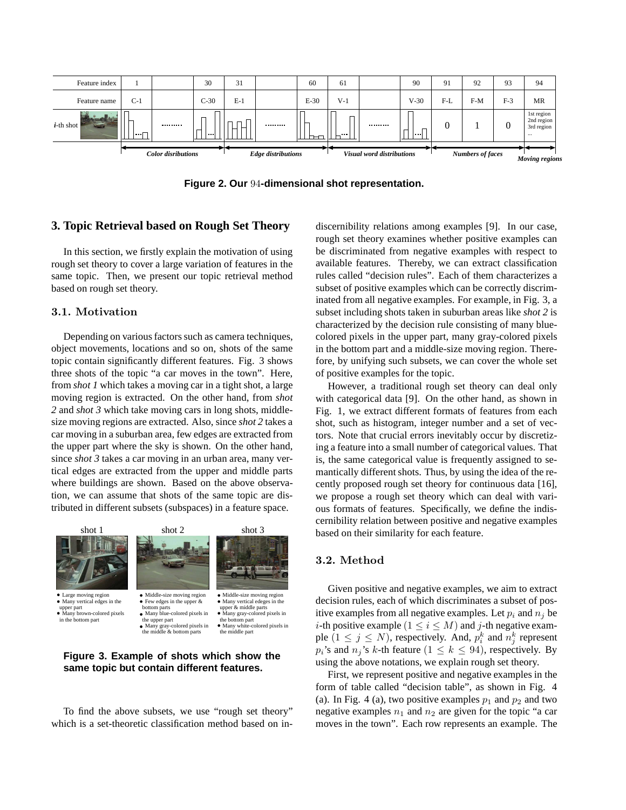

**Figure 2. Our** 94**-dimensional shot representation.**

### **3. Topic Retrieval based on Rough Set Theory**

In this section, we firstly explain the motivation of using rough set theory to cover a large variation of features in the same topic. Then, we present our topic retrieval method based on rough set theory.

#### 3.1. Motivation

Depending on various factors such as camera techniques, object movements, locations and so on, shots of the same topic contain significantly different features. Fig. 3 shows three shots of the topic "a car moves in the town". Here, from *shot 1* which takes a moving car in a tight shot, a large moving region is extracted. On the other hand, from *shot 2* and *shot 3* which take moving cars in long shots, middlesize moving regions are extracted. Also, since *shot 2* takes a car moving in a suburban area, few edges are extracted from the upper part where the sky is shown. On the other hand, since *shot 3* takes a car moving in an urban area, many vertical edges are extracted from the upper and middle parts where buildings are shown. Based on the above observation, we can assume that shots of the same topic are distributed in different subsets (subspaces) in a feature space.



## **Figure 3. Example of shots which show the same topic but contain different features.**

To find the above subsets, we use "rough set theory" which is a set-theoretic classification method based on indiscernibility relations among examples [9]. In our case, rough set theory examines whether positive examples can be discriminated from negative examples with respect to available features. Thereby, we can extract classification rules called "decision rules". Each of them characterizes a subset of positive examples which can be correctly discriminated from all negative examples. For example, in Fig. 3, a subset including shots taken in suburban areas like *shot 2* is characterized by the decision rule consisting of many bluecolored pixels in the upper part, many gray-colored pixels in the bottom part and a middle-size moving region. Therefore, by unifying such subsets, we can cover the whole set of positive examples for the topic.

However, a traditional rough set theory can deal only with categorical data [9]. On the other hand, as shown in Fig. 1, we extract different formats of features from each shot, such as histogram, integer number and a set of vectors. Note that crucial errors inevitably occur by discretizing a feature into a small number of categorical values. That is, the same categorical value is frequently assigned to semantically different shots. Thus, by using the idea of the recently proposed rough set theory for continuous data [16], we propose a rough set theory which can deal with various formats of features. Specifically, we define the indiscernibility relation between positive and negative examples based on their similarity for each feature.

#### 3.2. Method

Given positive and negative examples, we aim to extract decision rules, each of which discriminates a subset of positive examples from all negative examples. Let  $p_i$  and  $n_j$  be *i*-th positive example  $(1 \le i \le M)$  and *j*-th negative example  $(1 \le j \le N)$ , respectively. And,  $p_i^k$  and  $n_j^k$  represent  $p_i$ 's and  $n_j$ 's k-th feature  $(1 \leq k \leq 94)$ , respectively. By using the above notations, we explain rough set theory.

First, we represent positive and negative examples in the form of table called "decision table", as shown in Fig. 4 (a). In Fig. 4 (a), two positive examples  $p_1$  and  $p_2$  and two negative examples  $n_1$  and  $n_2$  are given for the topic "a car moves in the town". Each row represents an example. The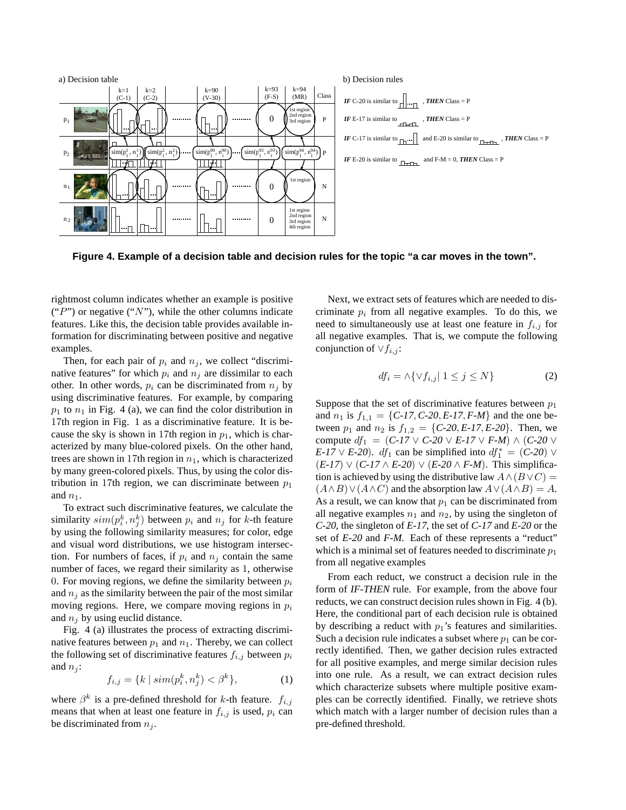

**Figure 4. Example of a decision table and decision rules for the topic "a car moves in the town".**

rightmost column indicates whether an example is positive ("P") or negative ("N"), while the other columns indicate features. Like this, the decision table provides available information for discriminating between positive and negative examples.

Then, for each pair of  $p_i$  and  $n_j$ , we collect "discriminative features" for which  $p_i$  and  $n_j$  are dissimilar to each other. In other words,  $p_i$  can be discriminated from  $n_i$  by using discriminative features. For example, by comparing  $p_1$  to  $n_1$  in Fig. 4 (a), we can find the color distribution in 17th region in Fig. 1 as a discriminative feature. It is because the sky is shown in 17th region in  $p_1$ , which is characterized by many blue-colored pixels. On the other hand, trees are shown in 17th region in  $n_1$ , which is characterized by many green-colored pixels. Thus, by using the color distribution in 17th region, we can discriminate between  $p_1$ and  $n_1$ .

To extract such discriminative features, we calculate the similarity  $sim(p_i^k, n_j^k)$  between  $p_i$  and  $n_j$  for k-th feature by using the following similarity measures; for color, edge and visual word distributions, we use histogram intersection. For numbers of faces, if  $p_i$  and  $n_j$  contain the same number of faces, we regard their similarity as 1, otherwise 0. For moving regions, we define the similarity between  $p_i$ and  $n_i$  as the similarity between the pair of the most similar moving regions. Here, we compare moving regions in  $p_i$ and  $n_i$  by using euclid distance.

Fig. 4 (a) illustrates the process of extracting discriminative features between  $p_1$  and  $n_1$ . Thereby, we can collect the following set of discriminative features  $f_{i,j}$  between  $p_i$ and  $n_i$ :

$$
f_{i,j} = \{k \mid sim(p_i^k, n_j^k) < \beta^k\},\tag{1}
$$

where  $\beta^k$  is a pre-defined threshold for k-th feature.  $f_{i,j}$ means that when at least one feature in  $f_{i,j}$  is used,  $p_i$  can be discriminated from  $n_j$ .

Next, we extract sets of features which are needed to discriminate  $p_i$  from all negative examples. To do this, we need to simultaneously use at least one feature in  $f_{i,j}$  for all negative examples. That is, we compute the following conjunction of  $\vee f_{i,j}$ :

$$
df_i = \land \{ \lor f_{i,j} \mid 1 \le j \le N \}
$$
 (2)

Suppose that the set of discriminative features between  $p_1$ and  $n_1$  is  $f_{1,1} = \{C \cdot I7, C \cdot 20, E \cdot I7, F \cdot M\}$  and the one between  $p_1$  and  $n_2$  is  $f_{1,2} = \{C-20, E-17, E-20\}$ . Then, we compute  $df_1 = (C-17 \vee C-20 \vee E-17 \vee F-M) \wedge (C-20 \vee$ *E-17*  $\vee$  *E-20*). *df*<sub>1</sub> can be simplified into  $df_1^* = (C-20) \vee$  $(E-17) \vee (C-17 \wedge E-20) \vee (E-20 \wedge F-M)$ . This simplification is achieved by using the distributive law  $A \wedge (B \vee C) =$  $(A \wedge B) \vee (A \wedge C)$  and the absorption law  $A \vee (A \wedge B) = A$ . As a result, we can know that  $p_1$  can be discriminated from all negative examples  $n_1$  and  $n_2$ , by using the singleton of *C-20*, the singleton of *E-17*, the set of *C-17* and *E-20* or the set of *E-20* and *F-M*. Each of these represents a "reduct" which is a minimal set of features needed to discriminate  $p_1$ from all negative examples

From each reduct, we construct a decision rule in the form of *IF-THEN* rule. For example, from the above four reducts, we can construct decision rules shown in Fig. 4 (b). Here, the conditional part of each decision rule is obtained by describing a reduct with  $p_1$ 's features and similarities. Such a decision rule indicates a subset where  $p_1$  can be correctly identified. Then, we gather decision rules extracted for all positive examples, and merge similar decision rules into one rule. As a result, we can extract decision rules which characterize subsets where multiple positive examples can be correctly identified. Finally, we retrieve shots which match with a larger number of decision rules than a pre-defined threshold.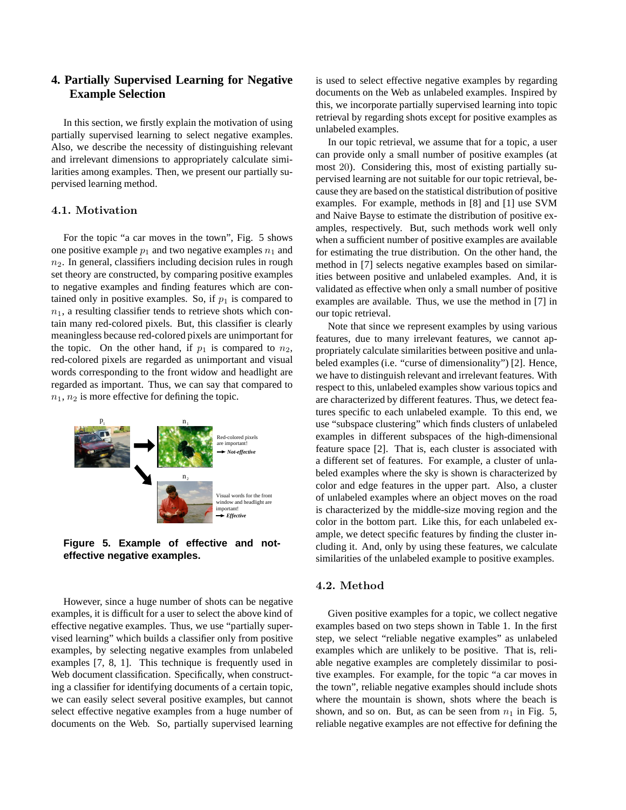# **4. Partially Supervised Learning for Negative Example Selection**

In this section, we firstly explain the motivation of using partially supervised learning to select negative examples. Also, we describe the necessity of distinguishing relevant and irrelevant dimensions to appropriately calculate similarities among examples. Then, we present our partially supervised learning method.

### 4.1. Motivation

For the topic "a car moves in the town", Fig. 5 shows one positive example  $p_1$  and two negative examples  $n_1$  and  $n<sub>2</sub>$ . In general, classifiers including decision rules in rough set theory are constructed, by comparing positive examples to negative examples and finding features which are contained only in positive examples. So, if  $p_1$  is compared to  $n_1$ , a resulting classifier tends to retrieve shots which contain many red-colored pixels. But, this classifier is clearly meaningless because red-colored pixels are unimportant for the topic. On the other hand, if  $p_1$  is compared to  $n_2$ , red-colored pixels are regarded as unimportant and visual words corresponding to the front widow and headlight are regarded as important. Thus, we can say that compared to  $n_1$ ,  $n_2$  is more effective for defining the topic.



**Figure 5. Example of effective and noteffective negative examples.**

However, since a huge number of shots can be negative examples, it is difficult for a user to select the above kind of effective negative examples. Thus, we use "partially supervised learning" which builds a classifier only from positive examples, by selecting negative examples from unlabeled examples [7, 8, 1]. This technique is frequently used in Web document classification. Specifically, when constructing a classifier for identifying documents of a certain topic, we can easily select several positive examples, but cannot select effective negative examples from a huge number of documents on the Web. So, partially supervised learning is used to select effective negative examples by regarding documents on the Web as unlabeled examples. Inspired by this, we incorporate partially supervised learning into topic retrieval by regarding shots except for positive examples as unlabeled examples.

In our topic retrieval, we assume that for a topic, a user can provide only a small number of positive examples (at most 20). Considering this, most of existing partially supervised learning are not suitable for our topic retrieval, because they are based on the statistical distribution of positive examples. For example, methods in [8] and [1] use SVM and Naive Bayse to estimate the distribution of positive examples, respectively. But, such methods work well only when a sufficient number of positive examples are available for estimating the true distribution. On the other hand, the method in [7] selects negative examples based on similarities between positive and unlabeled examples. And, it is validated as effective when only a small number of positive examples are available. Thus, we use the method in [7] in our topic retrieval.

Note that since we represent examples by using various features, due to many irrelevant features, we cannot appropriately calculate similarities between positive and unlabeled examples (i.e. "curse of dimensionality") [2]. Hence, we have to distinguish relevant and irrelevant features. With respect to this, unlabeled examples show various topics and are characterized by different features. Thus, we detect features specific to each unlabeled example. To this end, we use "subspace clustering" which finds clusters of unlabeled examples in different subspaces of the high-dimensional feature space [2]. That is, each cluster is associated with a different set of features. For example, a cluster of unlabeled examples where the sky is shown is characterized by color and edge features in the upper part. Also, a cluster of unlabeled examples where an object moves on the road is characterized by the middle-size moving region and the color in the bottom part. Like this, for each unlabeled example, we detect specific features by finding the cluster including it. And, only by using these features, we calculate similarities of the unlabeled example to positive examples.

### 4.2. Method

Given positive examples for a topic, we collect negative examples based on two steps shown in Table 1. In the first step, we select "reliable negative examples" as unlabeled examples which are unlikely to be positive. That is, reliable negative examples are completely dissimilar to positive examples. For example, for the topic "a car moves in the town", reliable negative examples should include shots where the mountain is shown, shots where the beach is shown, and so on. But, as can be seen from  $n_1$  in Fig. 5, reliable negative examples are not effective for defining the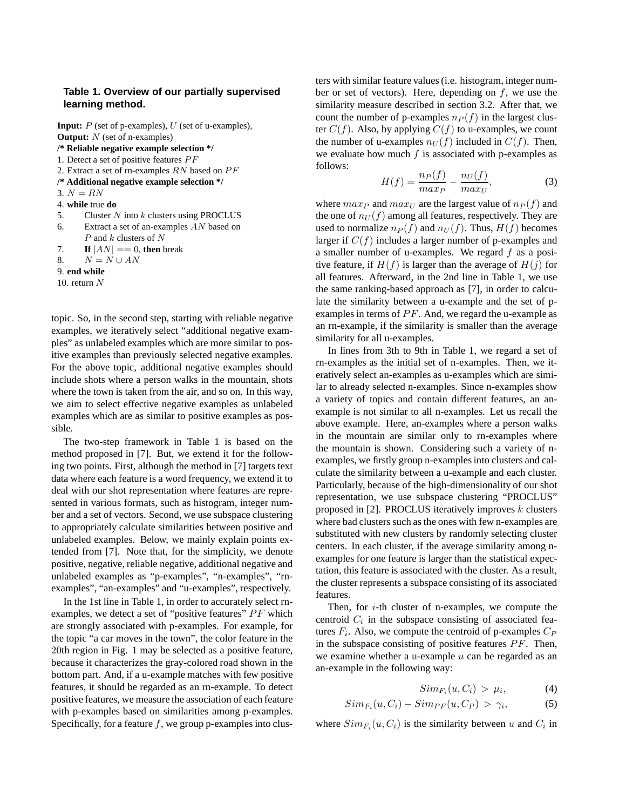### **Table 1. Overview of our partially supervised learning method.**

**Input:** P (set of p-examples), U (set of u-examples), **Output:** N (set of n-examples) **/\* Reliable negative example selection \*/** 1. Detect a set of positive features  $PF$ 2. Extract a set of rn-examples  $RN$  based on  $PF$ **/\* Additional negative example selection \*/** 3.  $N = RN$ 4. **while** true **do** 5. Cluster  $N$  into  $k$  clusters using PROCLUS 6. Extract a set of an-examples  $AN$  based on  $P$  and  $k$  clusters of  $N$ 7. **If**  $|AN| == 0$ , **then** break 8.  $N = N \cup AN$ 9. **end while** 10. return  $N$ 

topic. So, in the second step, starting with reliable negative examples, we iteratively select "additional negative examples" as unlabeled examples which are more similar to positive examples than previously selected negative examples. For the above topic, additional negative examples should include shots where a person walks in the mountain, shots where the town is taken from the air, and so on. In this way, we aim to select effective negative examples as unlabeled examples which are as similar to positive examples as possible.

The two-step framework in Table 1 is based on the method proposed in [7]. But, we extend it for the following two points. First, although the method in [7] targets text data where each feature is a word frequency, we extend it to deal with our shot representation where features are represented in various formats, such as histogram, integer number and a set of vectors. Second, we use subspace clustering to appropriately calculate similarities between positive and unlabeled examples. Below, we mainly explain points extended from [7]. Note that, for the simplicity, we denote positive, negative, reliable negative, additional negative and unlabeled examples as "p-examples", "n-examples", "rnexamples", "an-examples" and "u-examples", respectively.

In the 1st line in Table 1, in order to accurately select rnexamples, we detect a set of "positive features"  $PF$  which are strongly associated with p-examples. For example, for the topic "a car moves in the town", the color feature in the 20th region in Fig. 1 may be selected as a positive feature, because it characterizes the gray-colored road shown in the bottom part. And, if a u-example matches with few positive features, it should be regarded as an rn-example. To detect positive features, we measure the association of each feature with p-examples based on similarities among p-examples. Specifically, for a feature  $f$ , we group p-examples into clusters with similar feature values (i.e. histogram, integer number or set of vectors). Here, depending on  $f$ , we use the similarity measure described in section 3.2. After that, we count the number of p-examples  $n_P (f)$  in the largest cluster  $C(f)$ . Also, by applying  $C(f)$  to u-examples, we count the number of u-examples  $n_U(f)$  included in  $C(f)$ . Then, we evaluate how much  $f$  is associated with p-examples as follows:

$$
H(f) = \frac{n_P(f)}{max_P} - \frac{n_U(f)}{max_U},
$$
\n(3)

where  $max_P$  and  $max_U$  are the largest value of  $n_P(f)$  and the one of  $n_U(f)$  among all features, respectively. They are used to normalize  $n_P(f)$  and  $n_U(f)$ . Thus,  $H(f)$  becomes larger if  $C(f)$  includes a larger number of p-examples and a smaller number of u-examples. We regard  $f$  as a positive feature, if  $H(f)$  is larger than the average of  $H(j)$  for all features. Afterward, in the 2nd line in Table 1, we use the same ranking-based approach as [7], in order to calculate the similarity between a u-example and the set of pexamples in terms of  $PF$ . And, we regard the u-example as an rn-example, if the similarity is smaller than the average similarity for all u-examples.

In lines from 3th to 9th in Table 1, we regard a set of rn-examples as the initial set of n-examples. Then, we iteratively select an-examples as u-examples which are similar to already selected n-examples. Since n-examples show a variety of topics and contain different features, an anexample is not similar to all n-examples. Let us recall the above example. Here, an-examples where a person walks in the mountain are similar only to rn-examples where the mountain is shown. Considering such a variety of nexamples, we firstly group n-examples into clusters and calculate the similarity between a u-example and each cluster. Particularly, because of the high-dimensionality of our shot representation, we use subspace clustering "PROCLUS" proposed in  $[2]$ . PROCLUS iteratively improves k clusters where bad clusters such as the ones with few n-examples are substituted with new clusters by randomly selecting cluster centers. In each cluster, if the average similarity among nexamples for one feature is larger than the statistical expectation, this feature is associated with the cluster. As a result, the cluster represents a subspace consisting of its associated features.

Then, for  $i$ -th cluster of n-examples, we compute the centroid  $C_i$  in the subspace consisting of associated features  $F_i$ . Also, we compute the centroid of p-examples  $C_P$ in the subspace consisting of positive features  $PF$ . Then, we examine whether a u-example  $u$  can be regarded as an an-example in the following way:

$$
Sim_{F_i}(u, C_i) > \mu_i,
$$
 (4)

$$
Sim_{F_i}(u, C_i) - Sim_{PF}(u, C_P) > \gamma_i,
$$
 (5)

where  $Sim_{F_i}(u, C_i)$  is the similarity between u and  $C_i$  in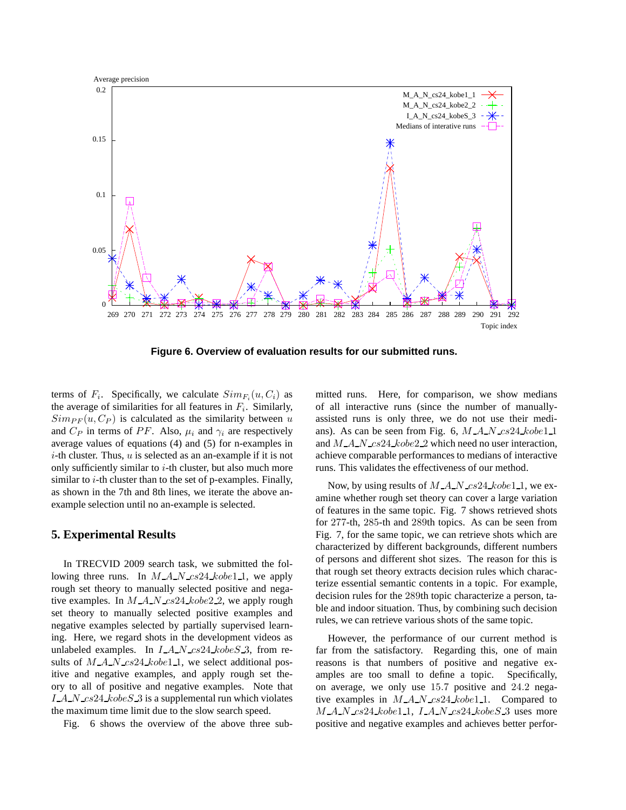

**Figure 6. Overview of evaluation results for our submitted runs.**

terms of  $F_i$ . Specifically, we calculate  $Sim_{F_i}(u, C_i)$  as the average of similarities for all features in  $F_i$ . Similarly,  $Simp_F(u, C_P)$  is calculated as the similarity between u and  $C_P$  in terms of PF. Also,  $\mu_i$  and  $\gamma_i$  are respectively average values of equations (4) and (5) for n-examples in  $i$ -th cluster. Thus,  $u$  is selected as an an-example if it is not only sufficiently similar to  $i$ -th cluster, but also much more similar to  $i$ -th cluster than to the set of p-examples. Finally, as shown in the 7th and 8th lines, we iterate the above anexample selection until no an-example is selected.

### **5. Experimental Results**

In TRECVID 2009 search task, we submitted the following three runs. In  $M_A N_c s^24 \, kobe1_1$ , we apply rough set theory to manually selected positive and negative examples. In  $M_A N_c$  cs24 kobe2 2, we apply rough set theory to manually selected positive examples and negative examples selected by partially supervised learning. Here, we regard shots in the development videos as unlabeled examples. In  $I.A.N.cs24.kobeS.3$ , from results of  $M.A.N.cs24 kobe1.1$ , we select additional positive and negative examples, and apply rough set theory to all of positive and negative examples. Note that I A N  $cs24 \, kobeS$  3 is a supplemental run which violates the maximum time limit due to the slow search speed.

Fig. 6 shows the overview of the above three sub-

mitted runs. Here, for comparison, we show medians of all interactive runs (since the number of manuallyassisted runs is only three, we do not use their medians). As can be seen from Fig. 6,  $M.A.N.cs24.kobel_1$ and  $M.A.N.cs24.kobe2.2$  which need no user interaction, achieve comparable performances to medians of interactive runs. This validates the effectiveness of our method.

Now, by using results of  $M_A N_c s24_k obe1_1$ , we examine whether rough set theory can cover a large variation of features in the same topic. Fig. 7 shows retrieved shots for 277-th, 285-th and 289th topics. As can be seen from Fig. 7, for the same topic, we can retrieve shots which are characterized by different backgrounds, different numbers of persons and different shot sizes. The reason for this is that rough set theory extracts decision rules which characterize essential semantic contents in a topic. For example, decision rules for the 289th topic characterize a person, table and indoor situation. Thus, by combining such decision rules, we can retrieve various shots of the same topic.

However, the performance of our current method is far from the satisfactory. Regarding this, one of main reasons is that numbers of positive and negative examples are too small to define a topic. Specifically, on average, we only use 15.7 positive and 24.2 negative examples in  $M_A N_c s^2 4_k c^2$ . Compared to  $M.A.N.cs24.kobel_1$ ,  $I.A.N.cs24.kobeS_3$  uses more positive and negative examples and achieves better perfor-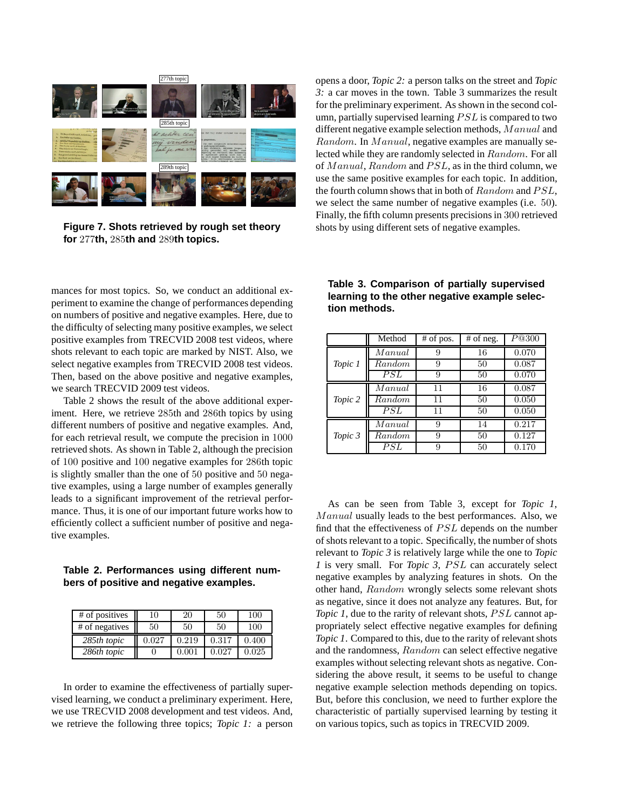

**Figure 7. Shots retrieved by rough set theory for** 277**th,** 285**th and** 289**th topics.**

mances for most topics. So, we conduct an additional experiment to examine the change of performances depending on numbers of positive and negative examples. Here, due to the difficulty of selecting many positive examples, we select positive examples from TRECVID 2008 test videos, where shots relevant to each topic are marked by NIST. Also, we select negative examples from TRECVID 2008 test videos. Then, based on the above positive and negative examples, we search TRECVID 2009 test videos.

Table 2 shows the result of the above additional experiment. Here, we retrieve 285th and 286th topics by using different numbers of positive and negative examples. And, for each retrieval result, we compute the precision in 1000 retrieved shots. As shown in Table 2, although the precision of 100 positive and 100 negative examples for 286th topic is slightly smaller than the one of 50 positive and 50 negative examples, using a large number of examples generally leads to a significant improvement of the retrieval performance. Thus, it is one of our important future works how to efficiently collect a sufficient number of positive and negative examples.

### **Table 2. Performances using different numbers of positive and negative examples.**

| # of positives | 10    | 20    | 50    | 100   |
|----------------|-------|-------|-------|-------|
| # of negatives | 50    | 50    | 50    | 100   |
| 285th topic    | 0.027 | 0.219 | 0.317 | 0.400 |
| 286th topic    |       | 0.001 | 0.027 | 0.025 |

In order to examine the effectiveness of partially supervised learning, we conduct a preliminary experiment. Here, we use TRECVID 2008 development and test videos. And, we retrieve the following three topics; *Topic 1:* a person opens a door, *Topic 2:* a person talks on the street and *Topic 3:* a car moves in the town. Table 3 summarizes the result for the preliminary experiment. As shown in the second column, partially supervised learning  $PSL$  is compared to two different negative example selection methods, Manual and Random. In Manual, negative examples are manually selected while they are randomly selected in Random. For all of Manual, Random and  $PSL$ , as in the third column, we use the same positive examples for each topic. In addition, the fourth column shows that in both of  $Random$  and  $PSL$ , we select the same number of negative examples (i.e. 50). Finally, the fifth column presents precisions in 300 retrieved shots by using different sets of negative examples.

|         | Method         | $#$ of pos. | $#$ of neg. | $\overline{P}$ @300 |
|---------|----------------|-------------|-------------|---------------------|
| Topic 1 | ${\it Manual}$ | 9           | 16          | 0.070               |
|         | Random         | 9           | 50          | 0.087               |
|         | PSL            | 9           | 50          | 0.070               |
| Topic 2 | ${\it Manual}$ | 11          | 16          | 0.087               |
|         | Random         | 11          | 50          | 0.050               |
|         | PSL            | 11          | 50          | 0.050               |
| Topic 3 | ${\it Manual}$ | 9           | 14          | 0.217               |
|         | Random         | 9           | 50          | 0.127               |
|         | PSL            | 9           | 50          | 0.170               |

As can be seen from Table 3, except for *Topic 1*, Manual usually leads to the best performances. Also, we find that the effectiveness of  $PSL$  depends on the number of shots relevant to a topic. Specifically, the number of shots relevant to *Topic 3* is relatively large while the one to *Topic 1* is very small. For *Topic 3*, *PSL* can accurately select negative examples by analyzing features in shots. On the other hand, Random wrongly selects some relevant shots as negative, since it does not analyze any features. But, for *Topic 1*, due to the rarity of relevant shots, *PSL* cannot appropriately select effective negative examples for defining *Topic 1*. Compared to this, due to the rarity of relevant shots and the randomness, Random can select effective negative examples without selecting relevant shots as negative. Considering the above result, it seems to be useful to change negative example selection methods depending on topics. But, before this conclusion, we need to further explore the characteristic of partially supervised learning by testing it on various topics, such as topics in TRECVID 2009.

**Table 3. Comparison of partially supervised learning to the other negative example selection methods.**